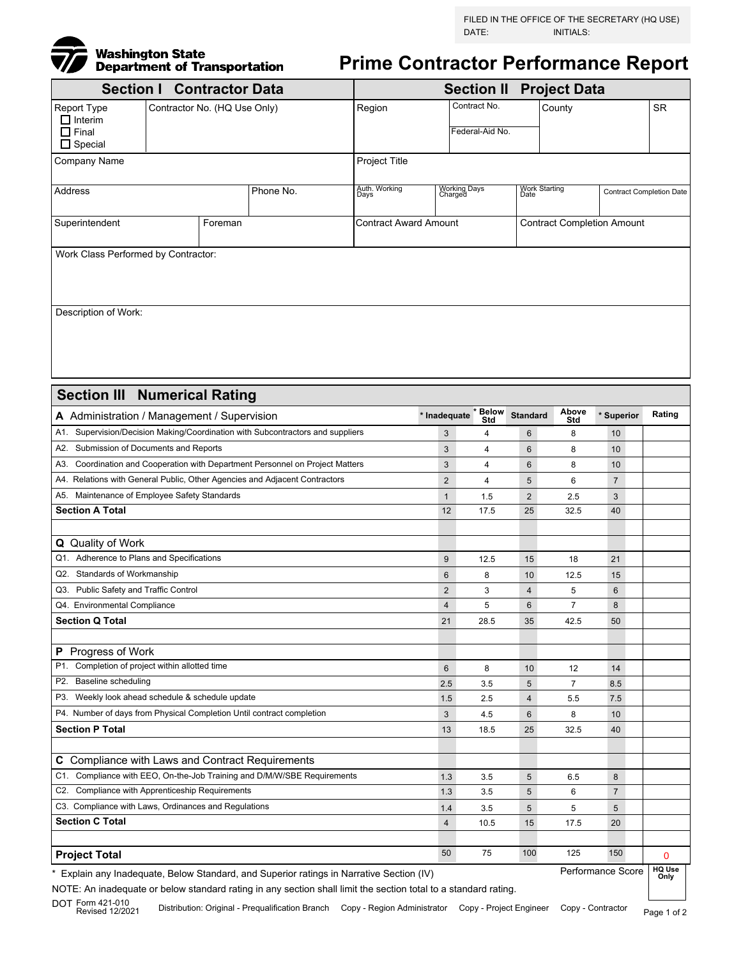

**Prime Contractor Performance Report**

| <b>Section I Contractor Data</b>                                                  |               |                |                              |                                                  |                |                 | <b>Section II Project Data</b>                           |                |     |           |  |
|-----------------------------------------------------------------------------------|---------------|----------------|------------------------------|--------------------------------------------------|----------------|-----------------|----------------------------------------------------------|----------------|-----|-----------|--|
| Report Type<br>$\Box$ Interim                                                     |               |                | Contractor No. (HQ Use Only) |                                                  |                | Contract No.    |                                                          | County         |     | <b>SR</b> |  |
| $\Box$ Final<br>$\Box$ Special                                                    |               |                |                              |                                                  |                | Federal-Aid No. |                                                          |                |     |           |  |
| Company Name                                                                      | Project Title |                |                              |                                                  |                |                 |                                                          |                |     |           |  |
| Address                                                                           |               |                | Phone No.                    | Auth. Working<br>Days<br>Working Days<br>Charged |                |                 | Work Starting<br>Date<br><b>Contract Completion Date</b> |                |     |           |  |
|                                                                                   |               |                |                              |                                                  |                |                 |                                                          |                |     |           |  |
| Superintendent<br>Foreman                                                         |               |                |                              | <b>Contract Award Amount</b>                     |                |                 | <b>Contract Completion Amount</b>                        |                |     |           |  |
| Work Class Performed by Contractor:                                               |               |                |                              |                                                  |                |                 |                                                          |                |     |           |  |
|                                                                                   |               |                |                              |                                                  |                |                 |                                                          |                |     |           |  |
|                                                                                   |               |                |                              |                                                  |                |                 |                                                          |                |     |           |  |
| Description of Work:                                                              |               |                |                              |                                                  |                |                 |                                                          |                |     |           |  |
|                                                                                   |               |                |                              |                                                  |                |                 |                                                          |                |     |           |  |
|                                                                                   |               |                |                              |                                                  |                |                 |                                                          |                |     |           |  |
|                                                                                   |               |                |                              |                                                  |                |                 |                                                          |                |     |           |  |
|                                                                                   |               |                |                              |                                                  |                |                 |                                                          |                |     |           |  |
| <b>Section III Numerical Rating</b>                                               |               |                |                              |                                                  |                |                 |                                                          |                |     |           |  |
| A Administration / Management / Supervision                                       |               |                | * Inadequate * Below<br>Std  | <b>Standard</b>                                  | Above<br>Std   | * Superior      | Rating                                                   |                |     |           |  |
| Supervision/Decision Making/Coordination with Subcontractors and suppliers<br>A1. |               |                |                              |                                                  | 3              | 4               | 6                                                        | 8              | 10  |           |  |
| A2. Submission of Documents and Reports                                           |               |                |                              |                                                  | 3              | 4               | 6                                                        | 8              | 10  |           |  |
| A3. Coordination and Cooperation with Department Personnel on Project Matters     |               |                |                              |                                                  | 3              | 4               | 6                                                        | 8              | 10  |           |  |
| A4. Relations with General Public, Other Agencies and Adjacent Contractors        |               | $\overline{2}$ | 4                            | 5                                                | 6              | $\overline{7}$  |                                                          |                |     |           |  |
| A5. Maintenance of Employee Safety Standards                                      |               | $\mathbf{1}$   | 1.5                          | $\overline{c}$                                   | 2.5            | 3               |                                                          |                |     |           |  |
| <b>Section A Total</b>                                                            |               | 12             | 17.5                         | 25                                               | 32.5           | 40              |                                                          |                |     |           |  |
|                                                                                   |               |                |                              |                                                  |                |                 |                                                          |                |     |           |  |
| Q Quality of Work                                                                 |               |                |                              |                                                  |                |                 |                                                          |                |     |           |  |
| Q1. Adherence to Plans and Specifications                                         |               | 9              | 12.5                         | 15                                               | 18             | 21              |                                                          |                |     |           |  |
| Q2. Standards of Workmanship                                                      |               | 6              | 8                            | 10                                               | 12.5           | 15              |                                                          |                |     |           |  |
| Public Safety and Traffic Control<br>Q3.                                          |               | $\overline{2}$ | 3                            | 4                                                | 5              | 6               |                                                          |                |     |           |  |
| Q4. Environmental Compliance                                                      |               | 4              | 5                            | 6                                                | $\overline{7}$ | 8               |                                                          |                |     |           |  |
| <b>Section Q Total</b>                                                            |               | 21             | 28.5                         | 35                                               | 42.5           | 50              |                                                          |                |     |           |  |
| P Progress of Work                                                                |               |                |                              |                                                  |                |                 |                                                          |                |     |           |  |
| Completion of project within allotted time<br>P1.                                 |               |                |                              |                                                  | 6              | 8               | 10                                                       | 12             | 14  |           |  |
| <b>Baseline scheduling</b><br>P2.                                                 |               |                |                              |                                                  | 2.5            | 3.5             | 5                                                        | $\overline{7}$ | 8.5 |           |  |
| P3. Weekly look ahead schedule & schedule update                                  |               | 1.5            | 2.5                          | $\overline{4}$                                   | 5.5            | 7.5             |                                                          |                |     |           |  |
| P4. Number of days from Physical Completion Until contract completion             |               | 3              | 4.5                          | 6                                                | 8              | 10              |                                                          |                |     |           |  |
| <b>Section P Total</b>                                                            |               | 13             | 18.5                         | 25                                               | 32.5           | 40              |                                                          |                |     |           |  |
|                                                                                   |               |                |                              |                                                  |                |                 |                                                          |                |     |           |  |
| C Compliance with Laws and Contract Requirements                                  |               |                |                              |                                                  |                |                 |                                                          |                |     |           |  |
| C1. Compliance with EEO, On-the-Job Training and D/M/W/SBE Requirements           |               |                |                              |                                                  | 1.3            | 3.5             | 5                                                        | 6.5            | 8   |           |  |
| C2. Compliance with Apprenticeship Requirements                                   |               | 1.3            | 3.5                          | 5                                                | 6              | $\overline{7}$  |                                                          |                |     |           |  |
| C3. Compliance with Laws, Ordinances and Regulations                              |               | 1.4            | 3.5                          | 5                                                | 5              | $\sqrt{5}$      |                                                          |                |     |           |  |
| <b>Section C Total</b>                                                            |               | $\overline{4}$ | 10.5                         | 15                                               | 17.5           | 20              |                                                          |                |     |           |  |
|                                                                                   |               |                |                              |                                                  | 50             |                 |                                                          |                |     |           |  |
| <b>Project Total</b>                                                              |               |                |                              |                                                  |                | 75              | 100                                                      | 125            | 150 | 0<br>HOMB |  |

\* Explain any Inadequate, Below Standard, and Superior ratings in Narrative Section (IV)

**HQ Use Only** Performance Score

NOTE: An inadequate or below standard rating in any section shall limit the section total to a standard rating.

Page 1 of 2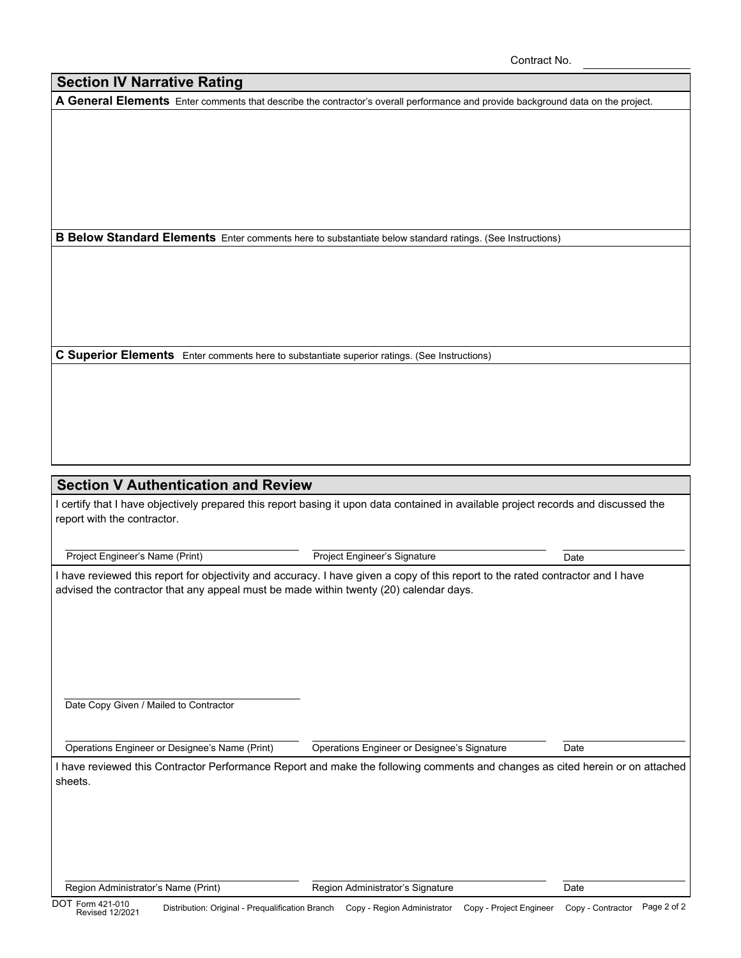Contract No.

## **Section IV Narrative Rating**

**A General Elements** Enter comments that describe the contractor's overall performance and provide background data on the project.

**B Below Standard Elements** Enter comments here to substantiate below standard ratings. (See Instructions)

**C Superior Elements** Enter comments here to substantiate superior ratings. (See Instructions)

## **Section V Authentication and Review**

I certify that I have objectively prepared this report basing it upon data contained in available project records and discussed the report with the contractor.

Project Engineer's Name (Print) Project Engineer's Signature Date

I have reviewed this report for objectivity and accuracy. I have given a copy of this report to the rated contractor and I have advised the contractor that any appeal must be made within twenty (20) calendar days.

Date Copy Given / Mailed to Contractor

Operations Engineer or Designee's Name (Print)

Operations Engineer or Designee's Signature Date

I have reviewed this Contractor Performance Report and make the following comments and changes as cited herein or on attached sheets.

Region Administrator's Name (Print) **Region Administrator's Signature** Date